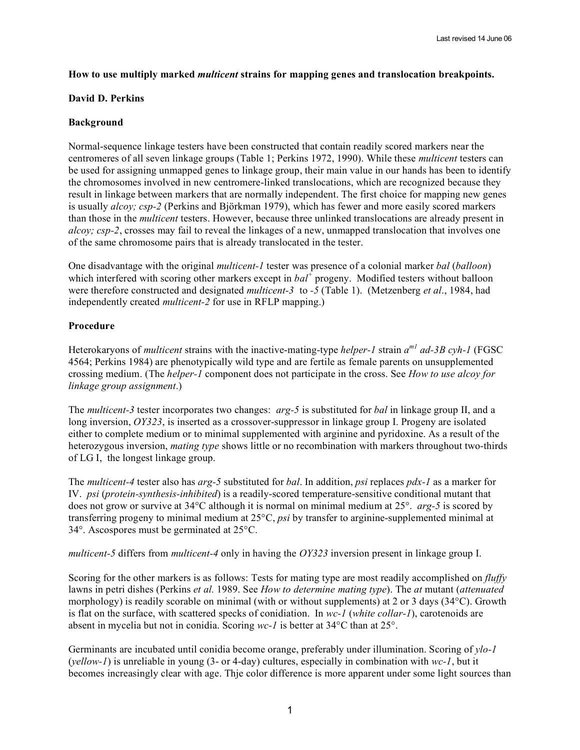## **How to use multiply marked** *multicent* **strains for mapping genes and translocation breakpoints.**

#### **David D. Perkins**

# **Background**

Normal-sequence linkage testers have been constructed that contain readily scored markers near the centromeres of all seven linkage groups (Table 1; Perkins 1972, 1990). While these *multicent* testers can be used for assigning unmapped genes to linkage group, their main value in our hands has been to identify the chromosomes involved in new centromere-linked translocations, which are recognized because they result in linkage between markers that are normally independent. The first choice for mapping new genes is usually *alcoy; csp-2* (Perkins and Björkman 1979), which has fewer and more easily scored markers than those in the *multicent* testers. However, because three unlinked translocations are already present in *alcoy; csp-2*, crosses may fail to reveal the linkages of a new, unmapped translocation that involves one of the same chromosome pairs that is already translocated in the tester.

One disadvantage with the original *multicent-1* tester was presence of a colonial marker *bal* (*balloon*) which interfered with scoring other markers except in  $bal^+$  progeny. Modified testers without balloon were therefore constructed and designated *multicent-3* to *-5* (Table 1). (Metzenberg *et al*., 1984, had independently created *multicent-2* for use in RFLP mapping.)

## **Procedure**

Heterokaryons of *multicent* strains with the inactive-mating-type *helper-1* strain *am1 ad-3B cyh-1* (FGSC 4564; Perkins 1984) are phenotypically wild type and are fertile as female parents on unsupplemented crossing medium. (The *helper-1* component does not participate in the cross. See *How to use alcoy for linkage group assignment*.)

The *multicent-3* tester incorporates two changes: *arg-5* is substituted for *bal* in linkage group II, and a long inversion, *OY323*, is inserted as a crossover-suppressor in linkage group I. Progeny are isolated either to complete medium or to minimal supplemented with arginine and pyridoxine. As a result of the heterozygous inversion, *mating type* shows little or no recombination with markers throughout two-thirds of LG I, the longest linkage group.

The *multicent-4* tester also has *arg-5* substituted for *bal*. In addition, *psi* replaces *pdx-1* as a marker for IV. *psi* (*protein-synthesis-inhibited*) is a readily-scored temperature-sensitive conditional mutant that does not grow or survive at 34°C although it is normal on minimal medium at 25°. *arg-5* is scored by transferring progeny to minimal medium at 25°C, *psi* by transfer to arginine-supplemented minimal at 34°. Ascospores must be germinated at 25°C.

*multicent-5* differs from *multicent-4* only in having the *OY323* inversion present in linkage group I.

Scoring for the other markers is as follows: Tests for mating type are most readily accomplished on *fluffy* lawns in petri dishes (Perkins *et al.* 1989. See *How to determine mating type*). The *at* mutant (*attenuated* morphology) is readily scorable on minimal (with or without supplements) at 2 or 3 days (34°C). Growth is flat on the surface, with scattered specks of conidiation. In *wc-1* (*white collar-1*), carotenoids are absent in mycelia but not in conidia. Scoring *wc-1* is better at 34°C than at 25°.

Germinants are incubated until conidia become orange, preferably under illumination. Scoring of *ylo-1* (*yellow-1*) is unreliable in young (3- or 4-day) cultures, especially in combination with *wc-1*, but it becomes increasingly clear with age. Thje color difference is more apparent under some light sources than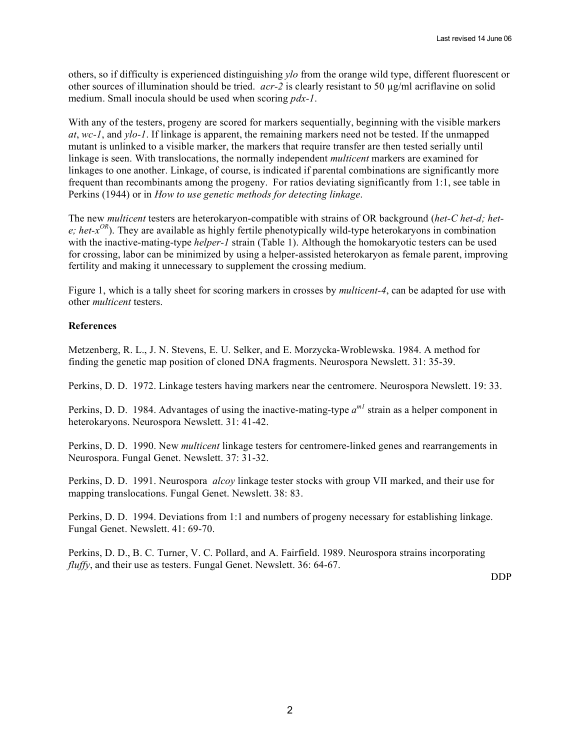others, so if difficulty is experienced distinguishing *ylo* from the orange wild type, different fluorescent or other sources of illumination should be tried. *acr-2* is clearly resistant to 50 µg/ml acriflavine on solid medium. Small inocula should be used when scoring *pdx-1*.

With any of the testers, progeny are scored for markers sequentially, beginning with the visible markers *at*, *wc-1*, and *ylo-1*. If linkage is apparent, the remaining markers need not be tested. If the unmapped mutant is unlinked to a visible marker, the markers that require transfer are then tested serially until linkage is seen. With translocations, the normally independent *multicent* markers are examined for linkages to one another. Linkage, of course, is indicated if parental combinations are significantly more frequent than recombinants among the progeny. For ratios deviating significantly from 1:1, see table in Perkins (1944) or in *How to use genetic methods for detecting linkage*.

The new *multicent* testers are heterokaryon-compatible with strains of OR background (*het-C het-d; het*e; het-x<sup>OR</sup>). They are available as highly fertile phenotypically wild-type heterokaryons in combination with the inactive-mating-type *helper-1* strain (Table 1). Although the homokaryotic testers can be used for crossing, labor can be minimized by using a helper-assisted heterokaryon as female parent, improving fertility and making it unnecessary to supplement the crossing medium.

Figure 1, which is a tally sheet for scoring markers in crosses by *multicent-4*, can be adapted for use with other *multicent* testers.

#### **References**

Metzenberg, R. L., J. N. Stevens, E. U. Selker, and E. Morzycka-Wroblewska. 1984. A method for finding the genetic map position of cloned DNA fragments. Neurospora Newslett. 31: 35-39.

Perkins, D. D. 1972. Linkage testers having markers near the centromere. Neurospora Newslett. 19: 33.

Perkins, D. D. 1984. Advantages of using the inactive-mating-type  $a^{ml}$  strain as a helper component in heterokaryons. Neurospora Newslett. 31: 41-42.

Perkins, D. D. 1990. New *multicent* linkage testers for centromere-linked genes and rearrangements in Neurospora. Fungal Genet. Newslett. 37: 31-32.

Perkins, D. D. 1991. Neurospora *alcoy* linkage tester stocks with group VII marked, and their use for mapping translocations. Fungal Genet. Newslett. 38: 83.

Perkins, D. D. 1994. Deviations from 1:1 and numbers of progeny necessary for establishing linkage. Fungal Genet. Newslett. 41: 69-70.

Perkins, D. D., B. C. Turner, V. C. Pollard, and A. Fairfield. 1989. Neurospora strains incorporating *fluffy*, and their use as testers. Fungal Genet. Newslett. 36: 64-67.

DDP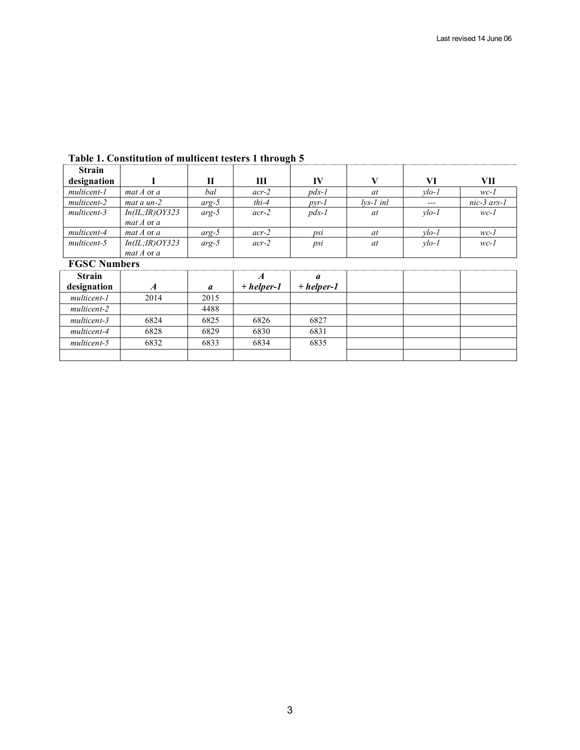| <b>Strain</b> |                   |         |         |         |             |         |             |
|---------------|-------------------|---------|---------|---------|-------------|---------|-------------|
| designation   |                   | П       | Ш       | IV      |             | VI      | VП          |
| multicent-1   | $mat A$ or a      | bal     | $acr-2$ | $pdx-1$ | at          | $vlo-1$ | $wc-1$      |
| multicent-2   | mat a un-2        | $arg-5$ | $thi-4$ | $pyr-1$ | $lvs-1$ inl | $---$   | nic-3 ars-1 |
| multicent-3   | In (IL; IR) OY323 | $arg-5$ | $acr-2$ | $pdx-1$ | at          | $vlo-1$ | $wc-1$      |
|               | $mat A$ or $a$    |         |         |         |             |         |             |
| multicent-4   | $mat A$ or a      | $arg-5$ | $acr-2$ | psi     | at          | $vlo-1$ | $wc-1$      |
| multicent-5   | In (IL; IR) OY323 | $arg-5$ | $acr-2$ | psi     | at          | $vlo-1$ | $wc-1$      |
|               | $mat A$ or $a$    |         |         |         |             |         |             |

# **Table 1. Constitution of multicent testers 1 through 5**

#### **FGSC Numbers**

| <b>Strain</b> |      |      |              | a            |  |  |
|---------------|------|------|--------------|--------------|--|--|
| designation   |      | a    | $+ helper-1$ | $+$ helper-1 |  |  |
| multicent-1   | 2014 | 2015 |              |              |  |  |
| multicent-2   |      | 4488 |              |              |  |  |
| multicent-3   | 6824 | 6825 | 6826         | 6827         |  |  |
| multicent-4   | 6828 | 6829 | 6830         | 6831         |  |  |
| multicent-5   | 6832 | 6833 | 6834         | 6835         |  |  |
|               |      |      |              |              |  |  |